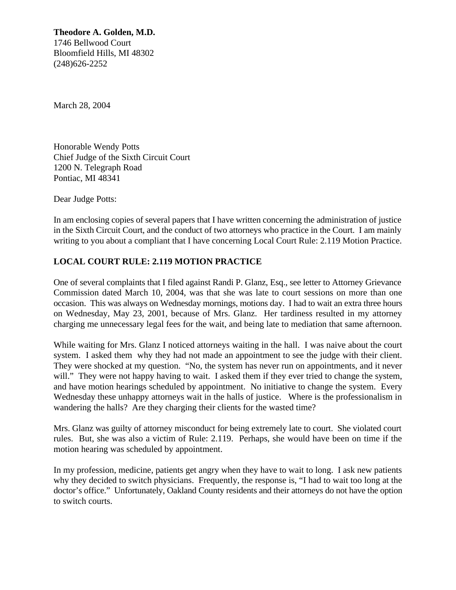**Theodore A. Golden, M.D.** 1746 Bellwood Court Bloomfield Hills, MI 48302 (248)626-2252

March 28, 2004

Honorable Wendy Potts Chief Judge of the Sixth Circuit Court 1200 N. Telegraph Road Pontiac, MI 48341

Dear Judge Potts:

In am enclosing copies of several papers that I have written concerning the administration of justice in the Sixth Circuit Court, and the conduct of two attorneys who practice in the Court. I am mainly writing to you about a compliant that I have concerning Local Court Rule: 2.119 Motion Practice.

## **LOCAL COURT RULE: 2.119 MOTION PRACTICE**

One of several complaints that I filed against Randi P. Glanz, Esq., see letter to Attorney Grievance Commission dated March 10, 2004, was that she was late to court sessions on more than one occasion. This was always on Wednesday mornings, motions day. I had to wait an extra three hours on Wednesday, May 23, 2001, because of Mrs. Glanz. Her tardiness resulted in my attorney charging me unnecessary legal fees for the wait, and being late to mediation that same afternoon.

While waiting for Mrs. Glanz I noticed attorneys waiting in the hall. I was naive about the court system. I asked them why they had not made an appointment to see the judge with their client. They were shocked at my question. "No, the system has never run on appointments, and it never will." They were not happy having to wait. I asked them if they ever tried to change the system, and have motion hearings scheduled by appointment. No initiative to change the system. Every Wednesday these unhappy attorneys wait in the halls of justice. Where is the professionalism in wandering the halls? Are they charging their clients for the wasted time?

Mrs. Glanz was guilty of attorney misconduct for being extremely late to court. She violated court rules. But, she was also a victim of Rule: 2.119. Perhaps, she would have been on time if the motion hearing was scheduled by appointment.

In my profession, medicine, patients get angry when they have to wait to long. I ask new patients why they decided to switch physicians. Frequently, the response is, "I had to wait too long at the doctor's office." Unfortunately, Oakland County residents and their attorneys do not have the option to switch courts.